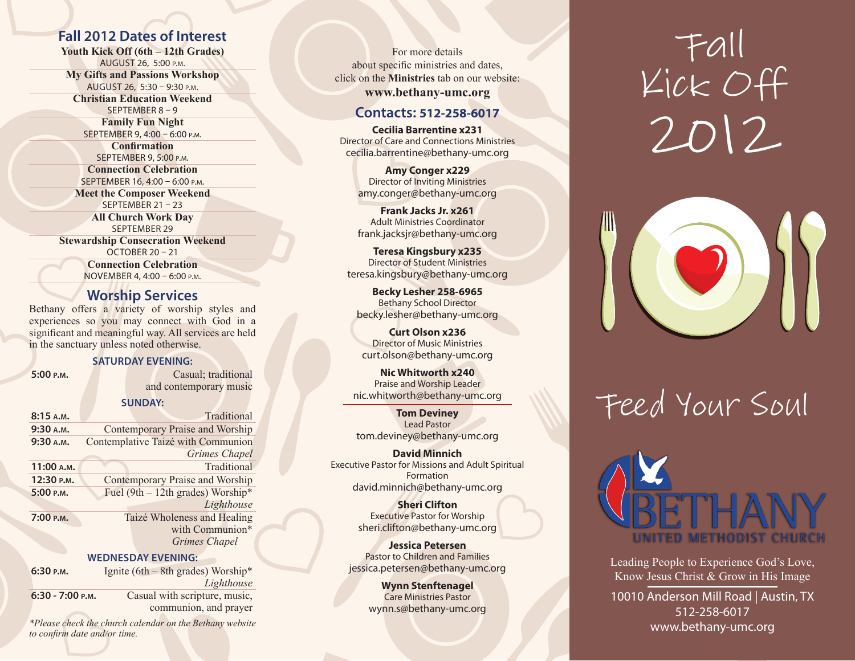#### **Fall 2012 Dates of Interest**

**Youth Kick Off (6th – 12th Grades)** August 26, 5:00 p.m. **My Gifts and Passions Workshop** August 26, 5:30 – 9:30 p.m. **Christian Education Weekend** September 8 – 9 **Family Fun Night** September 9, 4:00 – 6:00 p.m. **Confirmation** September 9, 5:00 p.m.

**Connection Celebration** September 16, 4:00 – 6:00 p.m. **Meet the Composer Weekend**  September 21 – 23 **All Church Work Day** September 29 **Stewardship Consecration Weekend** OCTOBER 20 - 21 **Connection Celebration** November 4, 4:00 – 6:00 p.m.

#### **Worship Services**

Bethany offers a variety of worship styles and experiences so you may connect with God in a significant and meaningful way. All services are held in the sanctuary unless noted otherwise.

#### **Saturday Evening:**

**5:00 p.m.** Casual; traditional and contemporary music

#### **Sunday:**

| 8:15A.M.   |                                     | Traditional                 |  |  |  |
|------------|-------------------------------------|-----------------------------|--|--|--|
| 9:30 A.M.  | Contemporary Praise and Worship     |                             |  |  |  |
| 9:30 A.M.  | Contemplative Taizé with Communion  |                             |  |  |  |
|            |                                     | <b>Grimes Chapel</b>        |  |  |  |
| 11:00 A.M. |                                     | Traditional                 |  |  |  |
| 12:30 р.м. | Contemporary Praise and Worship     |                             |  |  |  |
| 5:00 P.M.  | Fuel (9th $-$ 12th grades) Worship* |                             |  |  |  |
|            |                                     | Lighthouse                  |  |  |  |
| 7:00 P.M.  |                                     | Taizé Wholeness and Healing |  |  |  |
|            |                                     | with Communion*             |  |  |  |
|            |                                     | Grimes Chapel               |  |  |  |

#### **Wednesday Evening:**

| 6:30 P.M.          | Ignite (6th $-$ 8th grades) Worship*<br>Lighthouse |
|--------------------|----------------------------------------------------|
| $6:30 - 7:00$ P.M. | Casual with scripture, music,                      |
|                    | communion, and prayer                              |

*\*Please check the church calendar on the Bethany website to confirm date and/or time.*

For more details about specific ministries and dates, click on the **Ministries** tab on our website: **www.bethany-umc.org**

#### **Contacts: 512-258-6017**

**Cecilia Barrentine x231** Director of Care and Connections Ministries cecilia.barrentine@bethany-umc.org

> **Amy Conger x229** Director of Inviting Ministries amy.conger@bethany-umc.org

> **Frank Jacks Jr. x261** Adult Ministries Coordinator frank.jacksjr@bethany-umc.org

**Teresa Kingsbury x235** Director of Student Ministries teresa.kingsbury@bethany-umc.org

**Becky Lesher 258-6965** Bethany School Director becky.lesher@bethany-umc.org

**Curt Olson x236** Director of Music Ministries curt.olson@bethany-umc.org

**Nic Whitworth x240**  Praise and Worship Leader nic.whitworth@bethany-umc.org

**Tom Deviney** Lead Pastor tom.deviney@bethany-umc.org

**David Minnich** Executive Pastor for Missions and Adult Spiritual Formation david.minnich@bethany-umc.org

> **Sheri Clifton** Executive Pastor for Worship sheri.clifton@bethany-umc.org

**Jessica Petersen** Pastor to Children and Families jessica.petersen@bethany-umc.org

> **Wynn Stenftenagel** Care Ministries Pastor wynn.s@bethany-umc.org

# Fall Kick Off 2012



# Feed Your Soul



Leading People to Experience God's Love, Know Jesus Christ & Grow in His Image

10010 Anderson Mill Road | Austin, TX 512-258-6017 www.bethany-umc.org